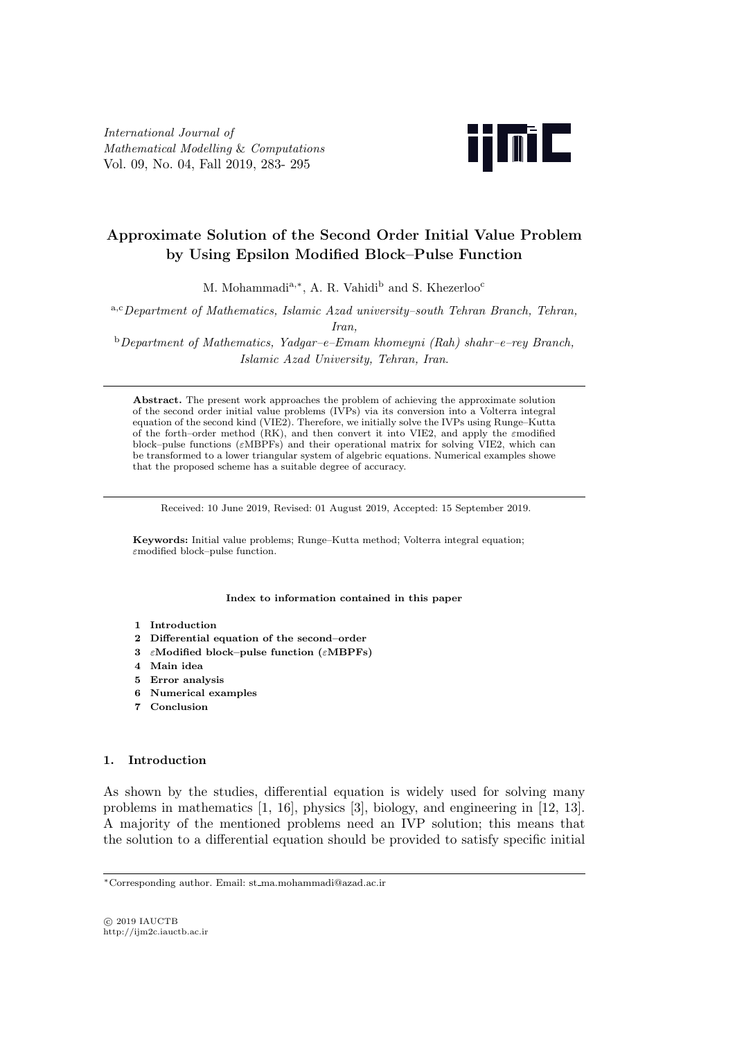*International Journal of Mathematical Modelling* & *Computations* Vol. 09, No. 04, Fall 2019, 283- 295



# **Approximate Solution of the Second Order Initial Value Problem by Using Epsilon Modified Block–Pulse Function**

M. Mohammadi<sup>a,\*</sup>, A. R. Vahidi<sup>b</sup> and S. Khezerloo<sup>c</sup>

<sup>a</sup>*,*c*Department of Mathematics, Islamic Azad university–south Tehran Branch, Tehran, Iran,*

<sup>b</sup>*Department of Mathematics, Yadgar–e–Emam khomeyni (Rah) shahr–e–rey Branch, Islamic Azad University, Tehran, Iran*.

**Abstract.** The present work approaches the problem of achieving the approximate solution of the second order initial value problems (IVPs) via its conversion into a Volterra integral equation of the second kind (VIE2). Therefore, we initially solve the IVPs using Runge–Kutta of the forth–order method (RK), and then convert it into VIE2, and apply the *ε*modified block–pulse functions (*ε*MBPFs) and their operational matrix for solving VIE2, which can be transformed to a lower triangular system of algebric equations. Numerical examples showe that the proposed scheme has a suitable degree of accuracy.

Received: 10 June 2019, Revised: 01 August 2019, Accepted: 15 September 2019.

**Keywords:** Initial value problems; Runge–Kutta method; Volterra integral equation; *ε*modified block–pulse function.

**Index to information contained in this paper**

- **1 Introduction**
- **2 Differential equation of the second–order**
- **3** *ε***Modified block–pulse function (***ε***MBPFs)**
- **4 Main idea**
- **5 Error analysis**
- **6 Numerical examples**
- **7 Conclusion**

#### **1. Introduction**

As shown by the studies, differential equation is widely used for solving many problems in mathematics [1, 16], physics [3], biology, and engineering in [12, 13]. A majority of the mentioned problems need an IVP solution; this means that the solution to a differential equation should be provided to satisfy specific initial

*<sup>∗</sup>*Corresponding author. Email: st ma.mohammadi@azad.ac.ir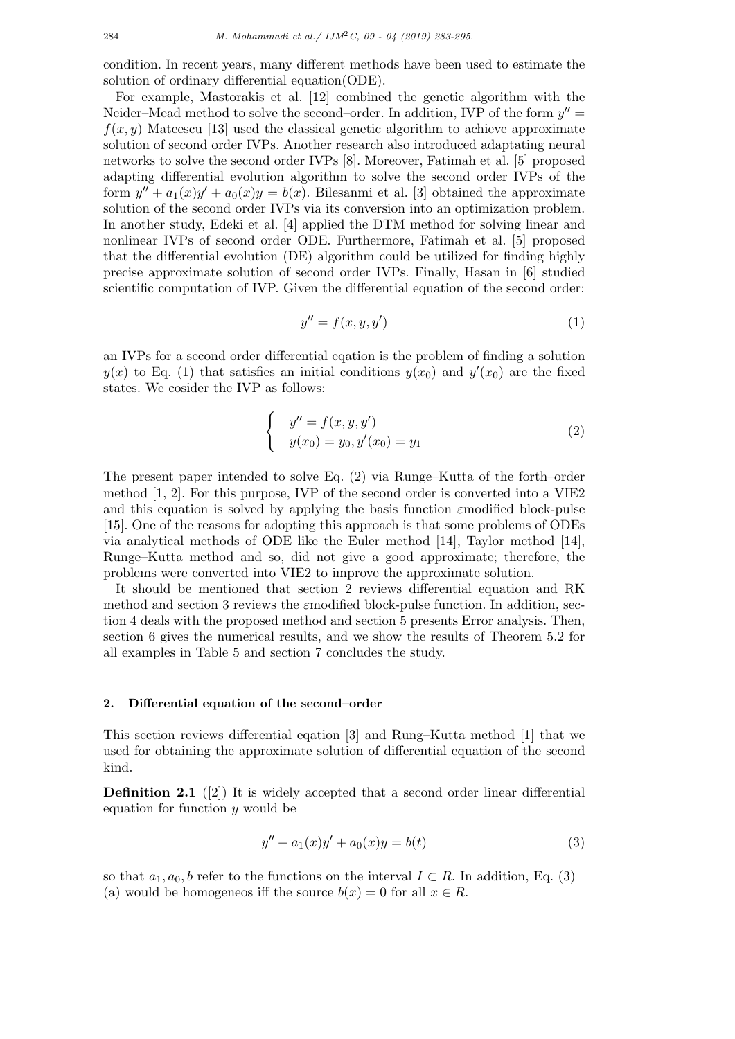condition. In recent years, many different methods have been used to estimate the solution of ordinary differential equation(ODE).

For example, Mastorakis et al. [12] combined the genetic algorithm with the Neider–Mead method to solve the second–order. In addition, IVP of the form  $y'' =$  $f(x, y)$  Mateescu [13] used the classical genetic algorithm to achieve approximate solution of second order IVPs. Another research also introduced adaptating neural networks to solve the second order IVPs [8]. Moreover, Fatimah et al. [5] proposed adapting differential evolution algorithm to solve the second order IVPs of the form  $y'' + a_1(x)y' + a_0(x)y = b(x)$ . Bilesanmi et al. [3] obtained the approximate solution of the second order IVPs via its conversion into an optimization problem. In another study, Edeki et al. [4] applied the DTM method for solving linear and nonlinear IVPs of second order ODE. Furthermore, Fatimah et al. [5] proposed that the differential evolution (DE) algorithm could be utilized for finding highly precise approximate solution of second order IVPs. Finally, Hasan in [6] studied scientific computation of IVP. Given the differential equation of the second order:

$$
y'' = f(x, y, y')\tag{1}
$$

an IVPs for a second order differential eqation is the problem of finding a solution  $y(x)$  to Eq. (1) that satisfies an initial conditions  $y(x_0)$  and  $y'(x_0)$  are the fixed states. We cosider the IVP as follows:

$$
\begin{cases}\n y'' = f(x, y, y') \\
 y(x_0) = y_0, y'(x_0) = y_1\n\end{cases}
$$
\n(2)

The present paper intended to solve Eq. (2) via Runge–Kutta of the forth–order method [1, 2]. For this purpose, IVP of the second order is converted into a VIE2 and this equation is solved by applying the basis function *ε*modified block-pulse [15]. One of the reasons for adopting this approach is that some problems of ODEs via analytical methods of ODE like the Euler method [14], Taylor method [14], Runge–Kutta method and so, did not give a good approximate; therefore, the problems were converted into VIE2 to improve the approximate solution.

It should be mentioned that section 2 reviews differential equation and RK method and section 3 reviews the *ε*modified block-pulse function. In addition, section 4 deals with the proposed method and section 5 presents Error analysis. Then, section 6 gives the numerical results, and we show the results of Theorem 5.2 for all examples in Table 5 and section 7 concludes the study.

#### **2. Differential equation of the second–order**

This section reviews differential eqation [3] and Rung–Kutta method [1] that we used for obtaining the approximate solution of differential equation of the second kind.

**Definition 2.1** ([2]) It is widely accepted that a second order linear differential equation for function *y* would be

$$
y'' + a_1(x)y' + a_0(x)y = b(t)
$$
\n(3)

so that  $a_1, a_0, b$  refer to the functions on the interval  $I \subset R$ . In addition, Eq. (3) (a) would be homogeneos iff the source  $b(x) = 0$  for all  $x \in R$ .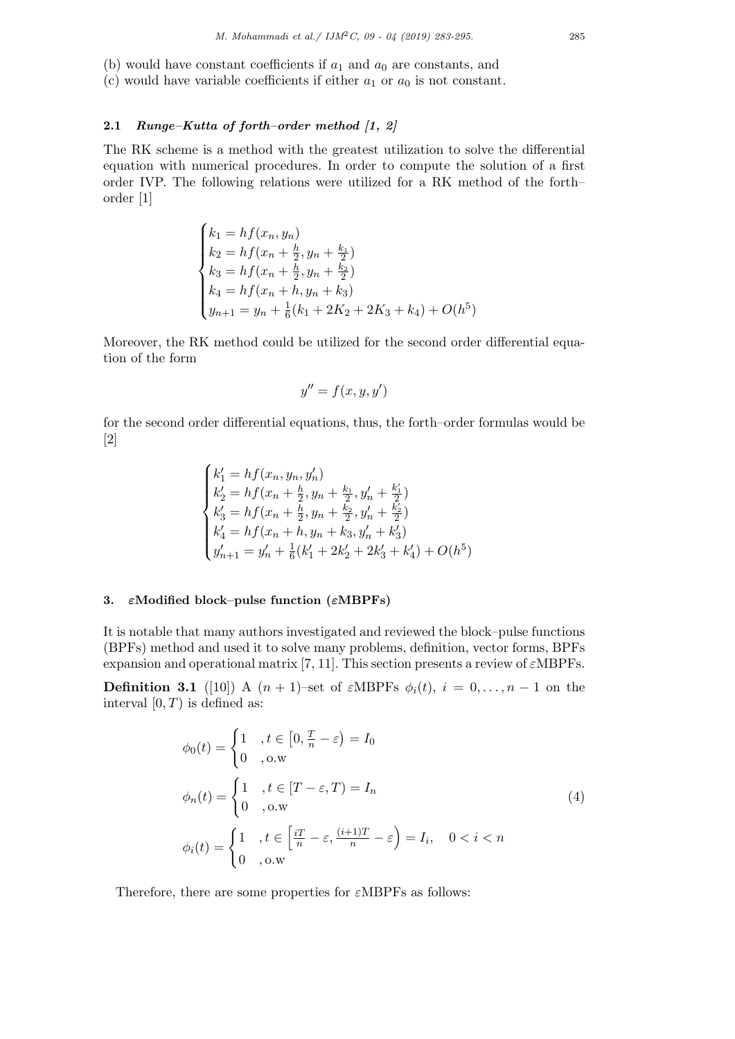- (b) would have constant coefficients if  $a_1$  and  $a_0$  are constants, and
- (c) would have variable coefficients if either  $a_1$  or  $a_0$  is not constant.

# **2.1** *Runge–Kutta of forth–order method [1, 2]*

The RK scheme is a method with the greatest utilization to solve the differential equation with numerical procedures. In order to compute the solution of a first order IVP. The following relations were utilized for a RK method of the forth– order [1]

$$
\begin{cases}\nk_1 = h f(x_n, y_n) \\
k_2 = h f(x_n + \frac{h}{2}, y_n + \frac{k_1}{2}) \\
k_3 = h f(x_n + \frac{h}{2}, y_n + \frac{k_2}{2}) \\
k_4 = h f(x_n + h, y_n + k_3) \\
y_{n+1} = y_n + \frac{1}{6}(k_1 + 2K_2 + 2K_3 + k_4) + O(h^5)\n\end{cases}
$$

Moreover, the RK method could be utilized for the second order differential equation of the form

$$
y'' = f(x, y, y')
$$

for the second order differential equations, thus, the forth–order formulas would be [2]

$$
\begin{cases} k_1'=hf(x_n,y_n,y_n')\\ k_2'=hf(x_n+\frac{h}{2},y_n+\frac{k_1}{2},y_n'+\frac{k_1'}{2})\\ k_3'=hf(x_n+\frac{h}{2},y_n+\frac{k_2}{2},y_n'+\frac{k_2'}{2})\\ k_4'=hf(x_n+h,y_n+k_3,y_n'+k_3')\\ y_{n+1}'=y_n'+\frac{1}{6}(k_1'+2k_2'+2k_3'+k_4')+O(h^5) \end{cases}
$$

# **3.** *ε***Modified block–pulse function (***ε***MBPFs)**

It is notable that many authors investigated and reviewed the block–pulse functions (BPFs) method and used it to solve many problems, definition, vector forms, BPFs expansion and operational matrix [7, 11]. This section presents a review of *ε*MBPFs.

**Definition 3.1** ([10]) A  $(n + 1)$ –set of *ε*MBPFs  $\phi_i(t)$ ,  $i = 0, \ldots, n - 1$  on the interval  $[0, T)$  is defined as:

$$
\phi_0(t) = \begin{cases} 1, & t \in [0, \frac{T}{n} - \varepsilon) = I_0 \\ 0, & \text{o.w} \end{cases}
$$
\n
$$
\phi_n(t) = \begin{cases} 1, & t \in [T - \varepsilon, T) = I_n \\ 0, & \text{o.w} \end{cases}
$$
\n
$$
\phi_i(t) = \begin{cases} 1, & t \in \left[ \frac{iT}{n} - \varepsilon, \frac{(i+1)T}{n} - \varepsilon \right) = I_i, & 0 < i < n \\ 0, & \text{o.w} \end{cases}
$$
\n(4)

Therefore, there are some properties for *ε*MBPFs as follows: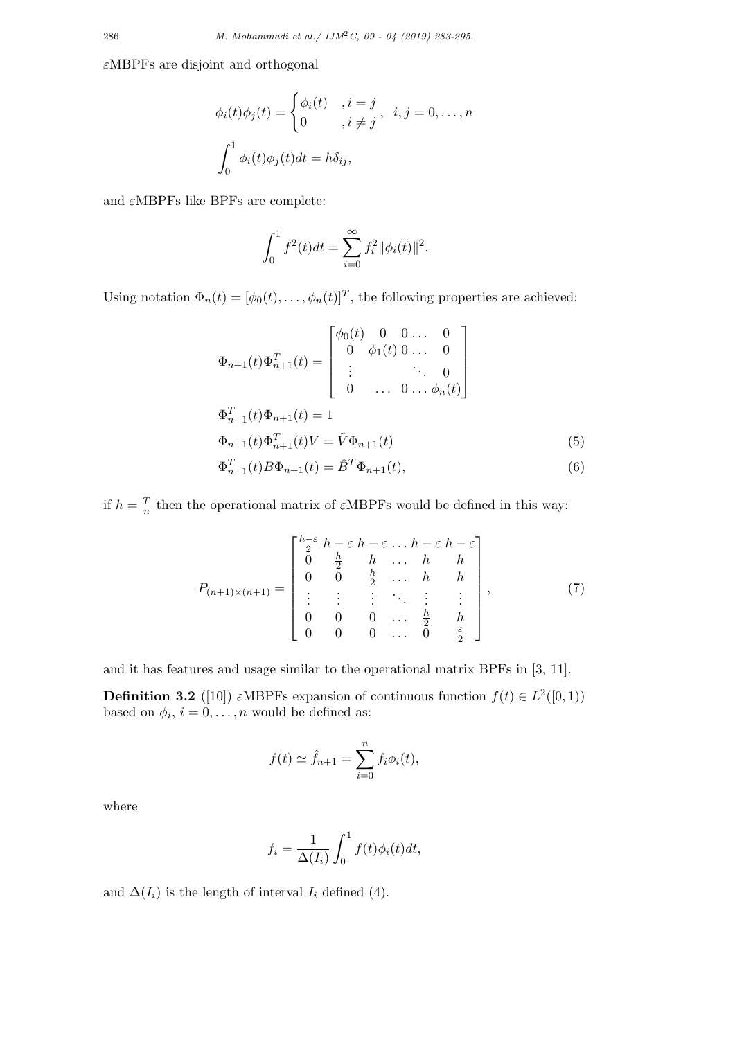*ε*MBPFs are disjoint and orthogonal

$$
\phi_i(t)\phi_j(t) = \begin{cases} \phi_i(t) & i = j \\ 0 & i \neq j \end{cases}, \quad i, j = 0, \dots, n
$$
\n
$$
\int_0^1 \phi_i(t)\phi_j(t)dt = h\delta_{ij},
$$

and *ε*MBPFs like BPFs are complete:

$$
\int_0^1 f^2(t)dt = \sum_{i=0}^\infty f_i^2 ||\phi_i(t)||^2.
$$

Using notation  $\Phi_n(t) = [\phi_0(t), \dots, \phi_n(t)]^T$ , the following properties are achieved:

$$
\Phi_{n+1}(t)\Phi_{n+1}^T(t) = \begin{bmatrix}\n\phi_0(t) & 0 & 0 & \dots & 0 \\
0 & \phi_1(t) & 0 & \dots & 0 \\
\vdots & \vdots & \ddots & \vdots \\
0 & \dots & 0 & \dots & \phi_n(t)\n\end{bmatrix}
$$
\n
$$
\Phi_{n+1}^T(t)\Phi_{n+1}(t) = 1
$$
\n
$$
\Phi_{n+1}(t)\Phi_{n+1}^T(t)V = \tilde{V}\Phi_{n+1}(t)
$$
\n
$$
\Phi_{n+1}^T(t)B\Phi_{n+1}(t) - \hat{R}^T\Phi_{n+1}(t)
$$
\n(5)

$$
\Phi_{n+1}^T(t)B\Phi_{n+1}(t) = \hat{B}^T\Phi_{n+1}(t),\tag{6}
$$

if  $h=\frac{T}{n}$  $\frac{T}{n}$  then the operational matrix of *ε*MBPFs would be defined in this way:

$$
P_{(n+1)\times(n+1)} = \begin{bmatrix} \frac{h-\varepsilon}{2} & h-\varepsilon & h-\varepsilon & \dots & h-\varepsilon & h-\varepsilon \\ 0 & \frac{h}{2} & h & \dots & h & h \\ 0 & 0 & \frac{h}{2} & \dots & h & h \\ \vdots & \vdots & \vdots & \ddots & \vdots & \vdots \\ 0 & 0 & 0 & \dots & \frac{h}{2} & h \\ 0 & 0 & 0 & \dots & 0 & \frac{\varepsilon}{2} \end{bmatrix}, \qquad (7)
$$

and it has features and usage similar to the operational matrix BPFs in [3, 11].

**Definition 3.2** ([10])  $\varepsilon$ MBPFs expansion of continuous function  $f(t) \in L^2([0,1))$ based on  $\phi_i$ ,  $i = 0, \ldots, n$  would be defined as:

$$
f(t) \simeq \hat{f}_{n+1} = \sum_{i=0}^{n} f_i \phi_i(t),
$$

where

$$
f_i = \frac{1}{\Delta(I_i)} \int_0^1 f(t)\phi_i(t)dt,
$$

and  $\Delta(I_i)$  is the length of interval  $I_i$  defined (4).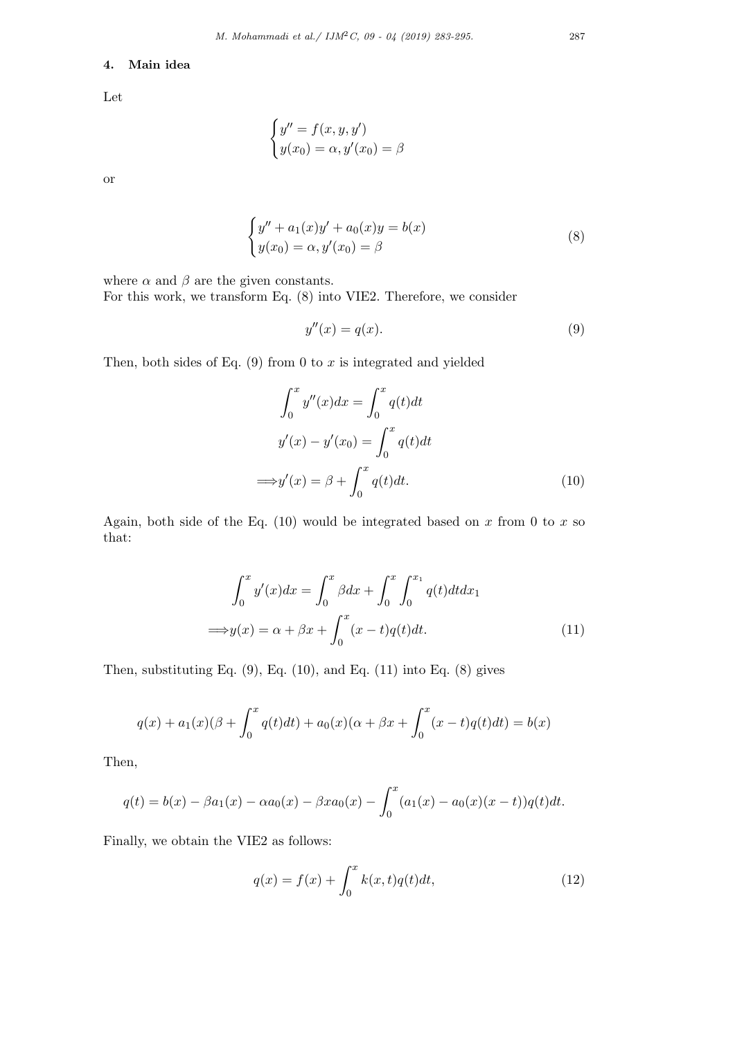### **4. Main idea**

Let

$$
\begin{cases}\ny'' = f(x, y, y') \\
y(x_0) = \alpha, y'(x_0) = \beta\n\end{cases}
$$

or

$$
\begin{cases}\ny'' + a_1(x)y' + a_0(x)y = b(x) \\
y(x_0) = \alpha, y'(x_0) = \beta\n\end{cases}
$$
\n(8)

where  $\alpha$  and  $\beta$  are the given constants.

For this work, we transform Eq. (8) into VIE2. Therefore, we consider

$$
y''(x) = q(x). \tag{9}
$$

Then, both sides of Eq.  $(9)$  from 0 to  $x$  is integrated and yielded

$$
\int_0^x y''(x)dx = \int_0^x q(t)dt
$$
  

$$
y'(x) - y'(x_0) = \int_0^x q(t)dt
$$
  

$$
\implies y'(x) = \beta + \int_0^x q(t)dt.
$$
 (10)

Again, both side of the Eq.  $(10)$  would be integrated based on x from 0 to x so that:

$$
\int_0^x y'(x)dx = \int_0^x \beta dx + \int_0^x \int_0^{x_1} q(t)dt dx_1
$$
  
\n
$$
\implies y(x) = \alpha + \beta x + \int_0^x (x - t)q(t)dt.
$$
\n(11)

Then, substituting Eq.  $(9)$ , Eq.  $(10)$ , and Eq.  $(11)$  into Eq.  $(8)$  gives

$$
q(x) + a_1(x)(\beta + \int_0^x q(t)dt) + a_0(x)(\alpha + \beta x + \int_0^x (x - t)q(t)dt) = b(x)
$$

Then,

$$
q(t) = b(x) - \beta a_1(x) - \alpha a_0(x) - \beta x a_0(x) - \int_0^x (a_1(x) - a_0(x)(x - t))q(t)dt.
$$

Finally, we obtain the VIE2 as follows:

$$
q(x) = f(x) + \int_0^x k(x, t)q(t)dt,
$$
\n(12)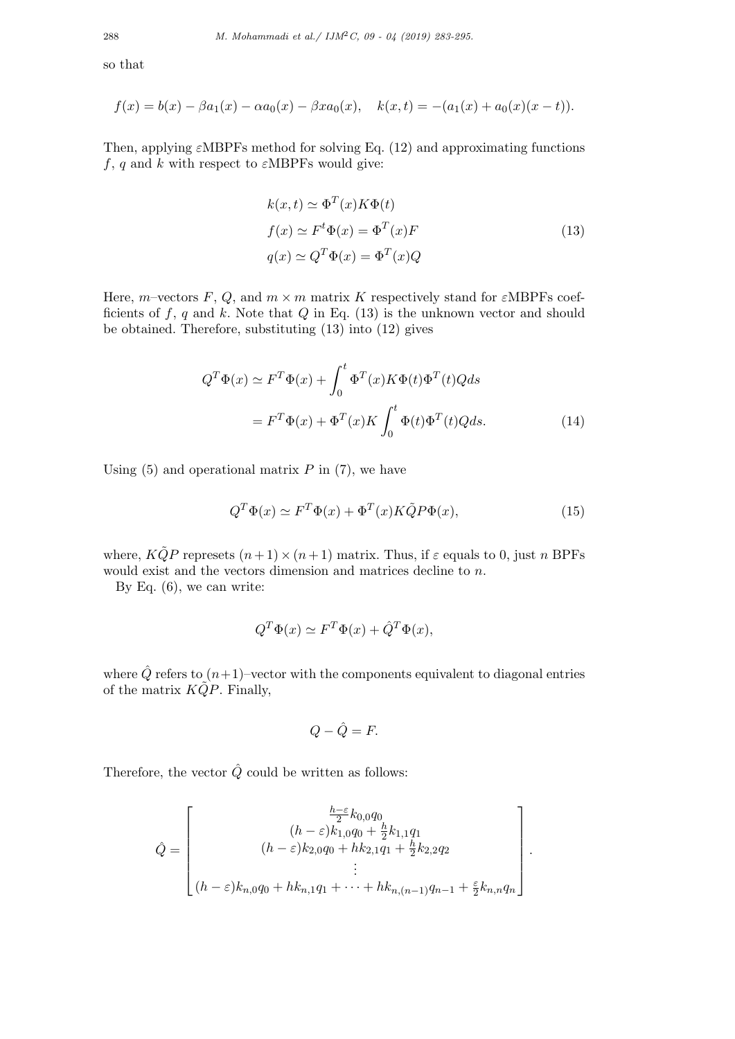so that

$$
f(x) = b(x) - \beta a_1(x) - \alpha a_0(x) - \beta x a_0(x), \quad k(x,t) = -(a_1(x) + a_0(x)(x-t)).
$$

Then, applying  $\varepsilon$ MBPFs method for solving Eq. (12) and approximating functions  $f, q$  and  $k$  with respect to  $\varepsilon$ MBPFs would give:

$$
k(x,t) \simeq \Phi^{T}(x)K\Phi(t)
$$
  
\n
$$
f(x) \simeq F^{t}\Phi(x) = \Phi^{T}(x)F
$$
  
\n
$$
q(x) \simeq Q^{T}\Phi(x) = \Phi^{T}(x)Q
$$
\n(13)

Here, *m*–vectors *F*, *Q*, and  $m \times m$  matrix *K* respectively stand for *ε*MBPFs coefficients of *f*, *q* and *k*. Note that *Q* in Eq. (13) is the unknown vector and should be obtained. Therefore, substituting (13) into (12) gives

$$
Q^T \Phi(x) \simeq F^T \Phi(x) + \int_0^t \Phi^T(x) K \Phi(t) \Phi^T(t) Q ds
$$

$$
= F^T \Phi(x) + \Phi^T(x) K \int_0^t \Phi(t) \Phi^T(t) Q ds.
$$
(14)

Using  $(5)$  and operational matrix  $P$  in  $(7)$ , we have

$$
Q^T \Phi(x) \simeq F^T \Phi(x) + \Phi^T(x) K \tilde{Q} P \Phi(x), \tag{15}
$$

where,  $K\tilde{Q}P$  represets  $(n+1) \times (n+1)$  matrix. Thus, if  $\varepsilon$  equals to 0, just *n* BPFs would exist and the vectors dimension and matrices decline to *n*.

By Eq. (6), we can write:

$$
Q^T \Phi(x) \simeq F^T \Phi(x) + \hat{Q}^T \Phi(x),
$$

where  $\hat{Q}$  refers to  $(n+1)$ –vector with the components equivalent to diagonal entries of the matrix  $KQP$ . Finally,

$$
Q - \hat{Q} = F.
$$

Therefore, the vector  $\hat{Q}$  could be written as follows:

$$
\hat{Q} = \begin{bmatrix}\n\frac{h-\varepsilon}{2}k_{0,0}q_{0} & \\
(h-\varepsilon)k_{1,0}q_{0} + \frac{h}{2}k_{1,1}q_{1} & \\
(h-\varepsilon)k_{2,0}q_{0} + hk_{2,1}q_{1} + \frac{h}{2}k_{2,2}q_{2} & \\
\vdots & \vdots & \vdots & \vdots & \vdots & \vdots & \vdots & \vdots & \vdots & \vdots & \vdots & \vdots & \vdots & \vdots & \vdots & \vdots & \vdots & \vdots & \vdots & \vdots & \vdots & \vdots & \vdots & \vdots & \vdots & \vdots & \vdots & \vdots & \vdots & \vdots & \vdots & \vdots & \vdots & \vdots & \vdots & \vdots & \vdots & \vdots & \vdots & \vdots & \vdots & \vdots & \vdots & \vdots & \vdots & \vdots & \vdots & \vdots & \vdots & \vdots & \vdots & \vdots & \vdots & \vdots & \vdots & \vdots & \vdots & \vdots & \vdots & \vdots & \vdots & \vdots & \vdots & \vdots & \vdots & \vdots & \vdots & \vdots & \vdots & \vdots & \vdots & \vdots & \vdots & \vdots & \vdots & \vdots & \vdots & \vdots & \vdots & \vdots & \vdots & \vdots & \vdots & \vdots & \vdots & \vdots & \vdots & \vdots & \vdots & \vdots & \vdots & \vdots & \vdots & \vdots & \vdots & \vdots & \vdots & \vdots & \vdots & \vdots & \vdots & \vdots & \vdots & \vdots & \vdots & \vdots &
$$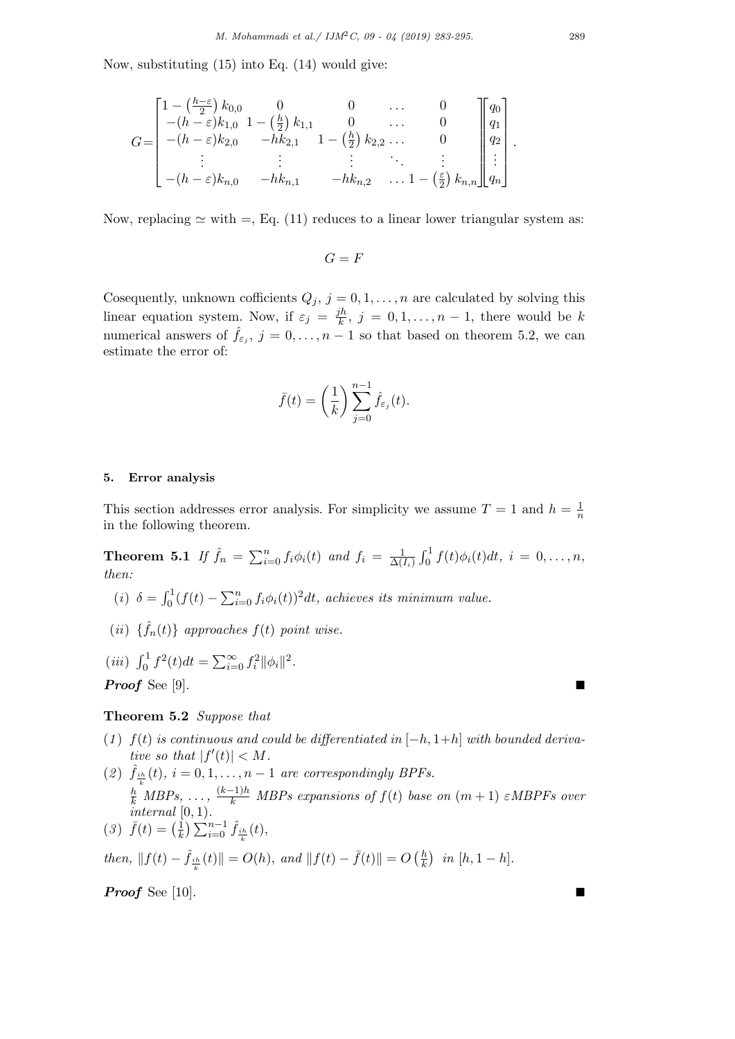Now, substituting (15) into Eq. (14) would give:

$$
G = \begin{bmatrix} 1 - \left(\frac{h - \varepsilon}{2}\right) k_{0,0} & 0 & 0 & \cdots & 0 \\ -(h - \varepsilon) k_{1,0} & 1 - \left(\frac{h}{2}\right) k_{1,1} & 0 & \cdots & 0 \\ -(h - \varepsilon) k_{2,0} & -hk_{2,1} & 1 - \left(\frac{h}{2}\right) k_{2,2} & \cdots & 0 \\ \vdots & \vdots & \vdots & \ddots & \vdots \\ -(h - \varepsilon) k_{n,0} & -hk_{n,1} & -hk_{n,2} & \cdots & 1 - \left(\frac{\varepsilon}{2}\right) k_{n,n} \end{bmatrix} \begin{bmatrix} q_0 \\ q_1 \\ q_2 \\ \vdots \\ q_n \end{bmatrix}.
$$

Now, replacing  $\simeq$  with =, Eq. (11) reduces to a linear lower triangular system as:

 $G = F$ 

Cosequently, unknown cofficients  $Q_j$ ,  $j = 0, 1, \ldots, n$  are calculated by solving this linear equation system. Now, if  $\varepsilon_j = \frac{jh}{k}$  $\frac{\partial h}{\partial k}$ ,  $j = 0, 1, \ldots, n - 1$ , there would be *k* numerical answers of  $\hat{f}_{\varepsilon_j}$ ,  $j = 0, \ldots, n-1$  so that based on theorem 5.2, we can estimate the error of:

$$
\bar{f}(t) = \left(\frac{1}{k}\right) \sum_{j=0}^{n-1} \hat{f}_{\varepsilon_j}(t).
$$

#### **5. Error analysis**

This section addresses error analysis. For simplicity we assume  $T = 1$  and  $h = \frac{1}{n}$ *n* in the following theorem.

**Theorem 5.1** *If*  $\hat{f}_n = \sum_{i=0}^n f_i \phi_i(t)$  *and*  $f_i = \frac{1}{\Delta(t)}$  $\frac{1}{\Delta(I_i)} \int_0^1 f(t) \phi_i(t) dt$ ,  $i = 0, \ldots, n$ , *then:*

- (*i*)  $\delta = \int_0^1 (f(t) \sum_{i=0}^n f_i \phi_i(t))^2 dt$ , achieves its minimum value.
- $(iii) \{ \hat{f}_n(t) \}$  approaches  $f(t)$  point wise.

(iii) 
$$
\int_0^1 f^2(t)dt = \sum_{i=0}^\infty f_i^2 ||\phi_i||^2
$$
.  
**Proof** See [9].

# **Theorem 5.2** *Suppose that*

- $(1)$   $f(t)$  *is continuous and could be differentiated in*  $[-h, 1+h]$  *with bounded derivative so that*  $|f'(t)| < M$ *.*
- (2)  $\hat{f}_{i h}(t), i = 0, 1, \ldots, n-1$  *are correspondingly BPFs.*  $\frac{h}{k}$ <sup>k</sup> *MBPs,* ...,  $\frac{(k-1)h}{k}$  *MBPs expansions of*  $f(t)$  *base on*  $(m+1)$  *εMBPFs over internal* [0*,* 1)*.*
- $(3) \ \bar{f}(t) = (\frac{1}{k})$  $\frac{1}{k}$ )  $\sum_{i=0}^{n-1} \hat{f}_{\frac{ih}{k}}(t)$ *,*

 $\int_{0}^{h} f(t) - \hat{f}(\theta) \leq 0$  *khen,*  $||f(t) - \bar{f}(t)|| = O(\frac{h}{k})$  $\frac{h}{k}$ ) *in* [*h*, 1 *− h*]*.* 

*Proof* See [10].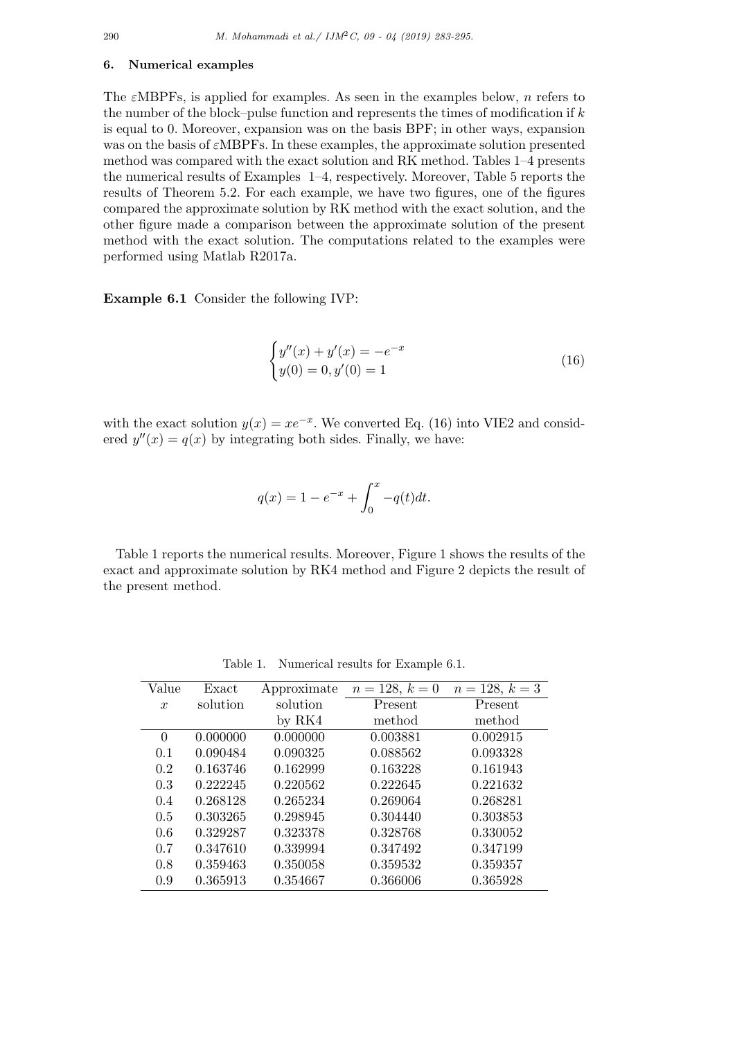#### **6. Numerical examples**

The *ε*MBPFs, is applied for examples. As seen in the examples below, *n* refers to the number of the block–pulse function and represents the times of modification if *k* is equal to 0. Moreover, expansion was on the basis BPF; in other ways, expansion was on the basis of *ε*MBPFs. In these examples, the approximate solution presented method was compared with the exact solution and RK method. Tables 1–4 presents the numerical results of Examples 1–4, respectively. Moreover, Table 5 reports the results of Theorem 5.2. For each example, we have two figures, one of the figures compared the approximate solution by RK method with the exact solution, and the other figure made a comparison between the approximate solution of the present method with the exact solution. The computations related to the examples were performed using Matlab R2017a.

**Example 6.1** Consider the following IVP:

$$
\begin{cases}\ny''(x) + y'(x) = -e^{-x} \\
y(0) = 0, y'(0) = 1\n\end{cases}
$$
\n(16)

with the exact solution  $y(x) = xe^{-x}$ . We converted Eq. (16) into VIE2 and considered  $y''(x) = q(x)$  by integrating both sides. Finally, we have:

$$
q(x) = 1 - e^{-x} + \int_0^x -q(t)dt.
$$

Table 1 reports the numerical results. Moreover, Figure 1 shows the results of the exact and approximate solution by RK4 method and Figure 2 depicts the result of the present method.

| Value            | Exact    | Approximate | $n = 128, k = 0$ | $n = 128, k = 3$ |
|------------------|----------|-------------|------------------|------------------|
|                  |          |             |                  |                  |
| $\boldsymbol{x}$ | solution | solution    | Present          | Present          |
|                  |          | by $RK4$    | method           | method           |
| $\theta$         | 0.000000 | 0.000000    | 0.003881         | 0.002915         |
| 0.1              | 0.090484 | 0.090325    | 0.088562         | 0.093328         |
| 0.2              | 0.163746 | 0.162999    | 0.163228         | 0.161943         |
| 0.3              | 0.222245 | 0.220562    | 0.222645         | 0.221632         |
| 0.4              | 0.268128 | 0.265234    | 0.269064         | 0.268281         |
| 0.5              | 0.303265 | 0.298945    | 0.304440         | 0.303853         |
| 0.6              | 0.329287 | 0.323378    | 0.328768         | 0.330052         |
| 0.7              | 0.347610 | 0.339994    | 0.347492         | 0.347199         |
| 0.8              | 0.359463 | 0.350058    | 0.359532         | 0.359357         |
| 0.9              | 0.365913 | 0.354667    | 0.366006         | 0.365928         |

Table 1. Numerical results for Example 6.1.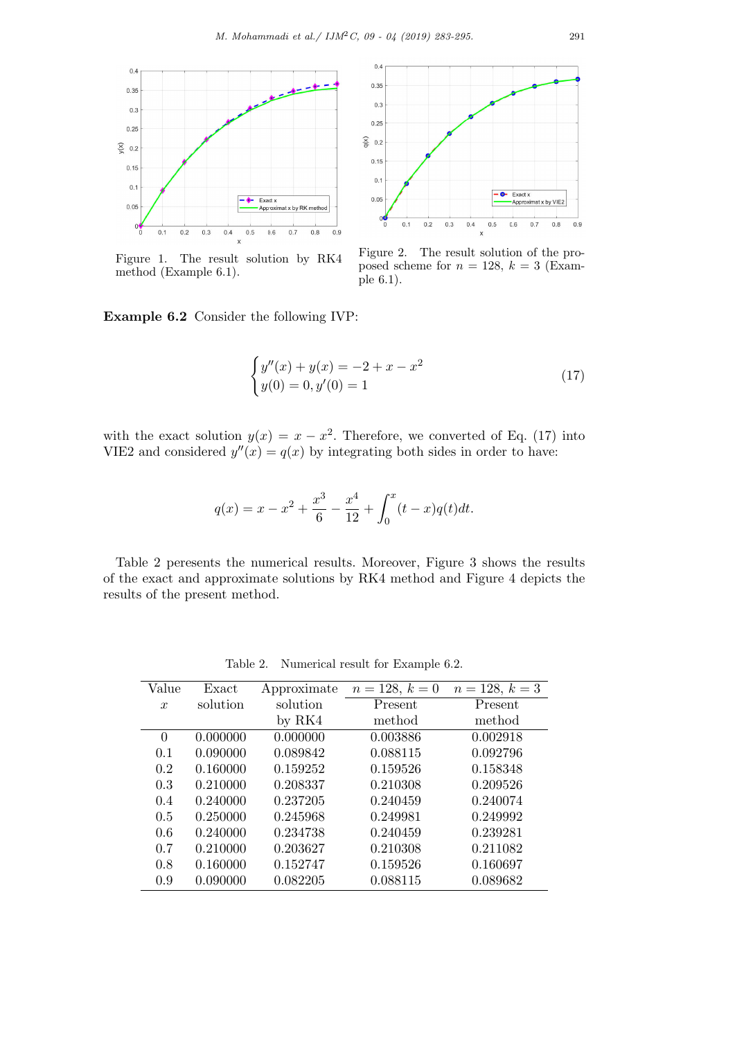$0.4$ 



 $0.35$  $0.3$  $0.25$  $q(x)$  $0.2$  $0.15$  $0.1$ Exact x  $0.05$ -Approximat x by VIE2  $\int_{0}^{0}$  $0.1$  $0.2$  $0.3$  $0.4$  $0.5$  $0.6$  $0.7$  $0.8$  $0.9$ 

Figure 1. The result solution by RK4 method (Example 6.1).



 $\overline{\mathbf{x}}$ 

**Example 6.2** Consider the following IVP:

$$
\begin{cases}\ny''(x) + y(x) = -2 + x - x^2 \\
y(0) = 0, y'(0) = 1\n\end{cases}
$$
\n(17)

with the exact solution  $y(x) = x - x^2$ . Therefore, we converted of Eq. (17) into VIE2 and considered  $y''(x) = q(x)$  by integrating both sides in order to have:

$$
q(x) = x - x^{2} + \frac{x^{3}}{6} - \frac{x^{4}}{12} + \int_{0}^{x} (t - x)q(t)dt.
$$

Table 2 peresents the numerical results. Moreover, Figure 3 shows the results of the exact and approximate solutions by RK4 method and Figure 4 depicts the results of the present method.

| Value            | Exact    | Approximate | $n = 128, k = 0$ | $n = 128, k = 3$ |
|------------------|----------|-------------|------------------|------------------|
| $\boldsymbol{x}$ | solution | solution    | Present          | Present          |
|                  |          | by RK4      | method           | method           |
| $\theta$         | 0.000000 | 0.000000    | 0.003886         | 0.002918         |
| 0.1              | 0.090000 | 0.089842    | 0.088115         | 0.092796         |
| 0.2              | 0.160000 | 0.159252    | 0.159526         | 0.158348         |
| 0.3              | 0.210000 | 0.208337    | 0.210308         | 0.209526         |
| 0.4              | 0.240000 | 0.237205    | 0.240459         | 0.240074         |
| 0.5              | 0.250000 | 0.245968    | 0.249981         | 0.249992         |
| 0.6              | 0.240000 | 0.234738    | 0.240459         | 0.239281         |
| 0.7              | 0.210000 | 0.203627    | 0.210308         | 0.211082         |
| 0.8              | 0.160000 | 0.152747    | 0.159526         | 0.160697         |
| 0.9              | 0.090000 | 0.082205    | 0.088115         | 0.089682         |

Table 2. Numerical result for Example 6.2.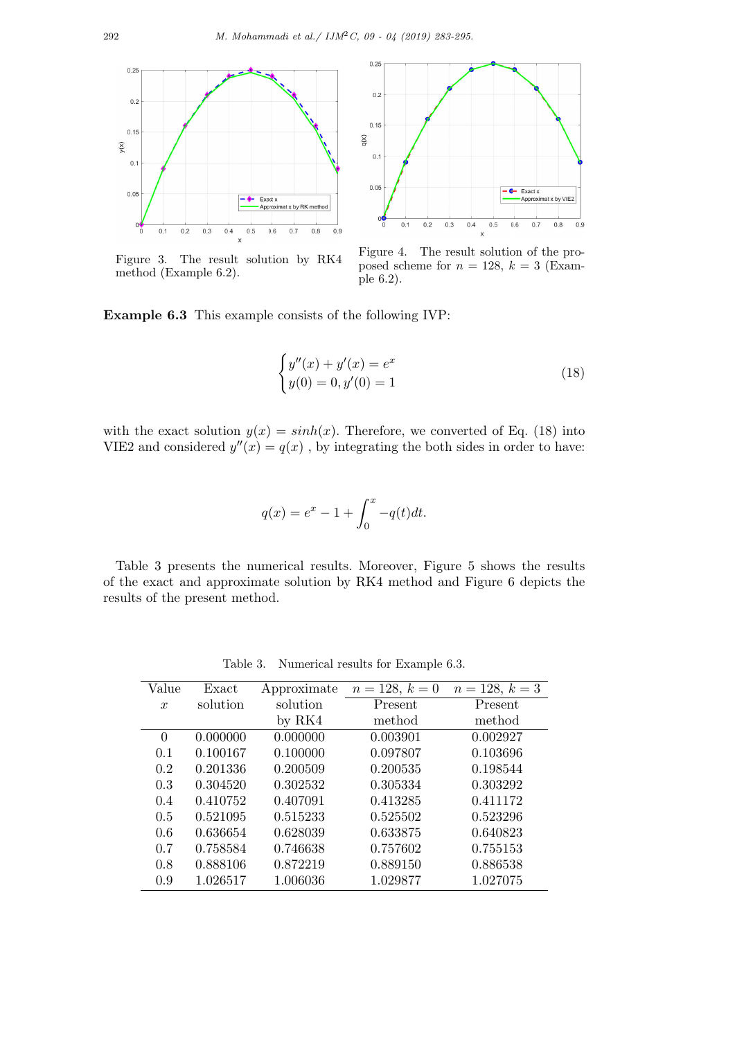

Figure 3. The result solution by RK4 method (Example 6.2).



Figure 4. The result solution of the proposed scheme for  $n = 128$ ,  $k = 3$  (Example 6.2).

**Example 6.3** This example consists of the following IVP:

$$
\begin{cases}\ny''(x) + y'(x) = e^x \\
y(0) = 0, y'(0) = 1\n\end{cases}
$$
\n(18)

with the exact solution  $y(x) = sinh(x)$ . Therefore, we converted of Eq. (18) into VIE2 and considered  $y''(x) = q(x)$ , by integrating the both sides in order to have:

$$
q(x) = e^x - 1 + \int_0^x -q(t)dt.
$$

Table 3 presents the numerical results. Moreover, Figure 5 shows the results of the exact and approximate solution by RK4 method and Figure 6 depicts the results of the present method.

Table 3. Numerical results for Example 6.3.

| Value            | Exact    | Approximate | $n = 128, k = 0$ | $n = 128, k = 3$ |
|------------------|----------|-------------|------------------|------------------|
| $\boldsymbol{x}$ | solution | solution    | Present          | Present          |
|                  |          | by $RK4$    | method           | method           |
| $\Omega$         | 0.000000 | 0.000000    | 0.003901         | 0.002927         |
| 0.1              | 0.100167 | 0.100000    | 0.097807         | 0.103696         |
| 0.2              | 0.201336 | 0.200509    | 0.200535         | 0.198544         |
| 0.3              | 0.304520 | 0.302532    | 0.305334         | 0.303292         |
| 0.4              | 0.410752 | 0.407091    | 0.413285         | 0.411172         |
| 0.5              | 0.521095 | 0.515233    | 0.525502         | 0.523296         |
| 0.6              | 0.636654 | 0.628039    | 0.633875         | 0.640823         |
| 0.7              | 0.758584 | 0.746638    | 0.757602         | 0.755153         |
| 0.8              | 0.888106 | 0.872219    | 0.889150         | 0.886538         |
| 0.9              | 1.026517 | 1.006036    | 1.029877         | 1.027075         |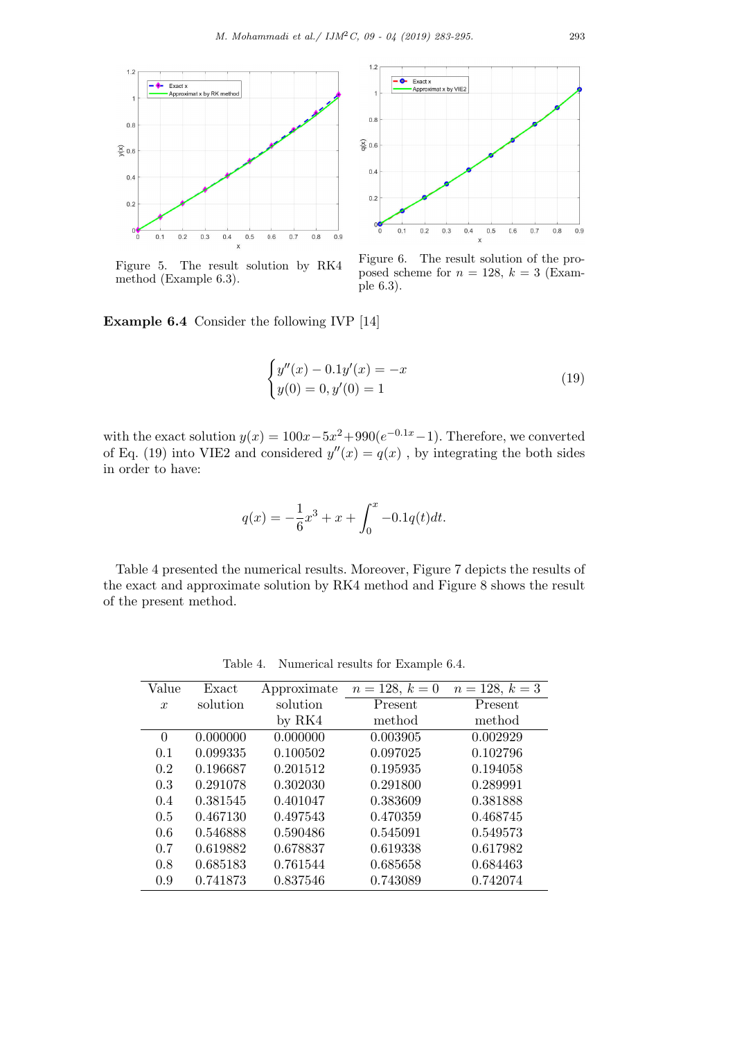

Figure 5. The result solution by RK4 method (Example 6.3).



Figure 6. The result solution of the proposed scheme for  $n = 128$ ,  $k = 3$  (Example 6.3).

**Example 6.4** Consider the following IVP [14]

$$
\begin{cases}\ny''(x) - 0.1y'(x) = -x \\
y(0) = 0, y'(0) = 1\n\end{cases}
$$
\n(19)

with the exact solution  $y(x) = 100x - 5x^2 + 990(e^{-0.1x} - 1)$ . Therefore, we converted of Eq. (19) into VIE2 and considered  $y''(x) = q(x)$ , by integrating the both sides in order to have:

$$
q(x) = -\frac{1}{6}x^3 + x + \int_0^x -0.1q(t)dt.
$$

Table 4 presented the numerical results. Moreover, Figure 7 depicts the results of the exact and approximate solution by RK4 method and Figure 8 shows the result of the present method.

Table 4. Numerical results for Example 6.4.

| Value            | Exact    | Approximate | $n = 128, k = 0$ | $n = 128, k = 3$ |
|------------------|----------|-------------|------------------|------------------|
| $\boldsymbol{x}$ | solution | solution    | Present          | Present          |
|                  |          | by $RK4$    | method           | method           |
| $\theta$         | 0.000000 | 0.000000    | 0.003905         | 0.002929         |
| 0.1              | 0.099335 | 0.100502    | 0.097025         | 0.102796         |
| 0.2              | 0.196687 | 0.201512    | 0.195935         | 0.194058         |
| 0.3              | 0.291078 | 0.302030    | 0.291800         | 0.289991         |
| 0.4              | 0.381545 | 0.401047    | 0.383609         | 0.381888         |
| 0.5              | 0.467130 | 0.497543    | 0.470359         | 0.468745         |
| 0.6              | 0.546888 | 0.590486    | 0.545091         | 0.549573         |
| 0.7              | 0.619882 | 0.678837    | 0.619338         | 0.617982         |
| 0.8              | 0.685183 | 0.761544    | 0.685658         | 0.684463         |
| 0.9              | 0.741873 | 0.837546    | 0.743089         | 0.742074         |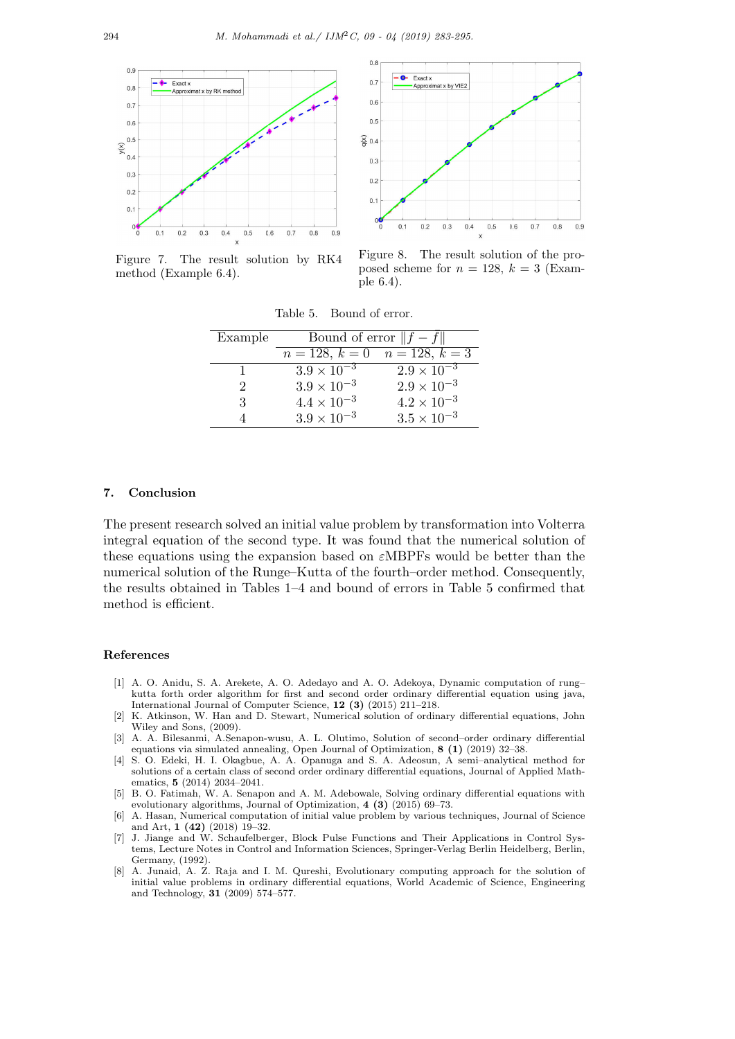



Figure 7. The result solution by RK4 method (Example 6.4).

Figure 8. The result solution of the proposed scheme for  $n = 128$ ,  $k = 3$  (Example 6.4).

| Example                     | Bound of error $  f - f  $            |                      |  |
|-----------------------------|---------------------------------------|----------------------|--|
|                             | $n = 128, k = 0 \quad n = 128, k = 3$ |                      |  |
|                             | $3.9 \times \overline{10^{-3}}$       | $2.9 \times 10^{-3}$ |  |
| $\mathcal{D}_{\mathcal{L}}$ | $3.9 \times 10^{-3}$                  | $2.9 \times 10^{-3}$ |  |
| 3                           | $4.4 \times 10^{-3}$                  | $4.2 \times 10^{-3}$ |  |
|                             | $3.9 \times 10^{-3}$                  | $3.5 \times 10^{-3}$ |  |

Table 5. Bound of error.

## **7. Conclusion**

The present research solved an initial value problem by transformation into Volterra integral equation of the second type. It was found that the numerical solution of these equations using the expansion based on *ε*MBPFs would be better than the numerical solution of the Runge–Kutta of the fourth–order method. Consequently, the results obtained in Tables 1–4 and bound of errors in Table 5 confirmed that method is efficient.

#### **References**

- [1] A. O. Anidu, S. A. Arekete, A. O. Adedayo and A. O. Adekoya, Dynamic computation of rung– kutta forth order algorithm for first and second order ordinary differential equation using java, International Journal of Computer Science, **12 (3)** (2015) 211–218.
- [2] K. Atkinson, W. Han and D. Stewart, Numerical solution of ordinary differential equations, John Wiley and Sons, (2009).
- [3] A. A. Bilesanmi, A.Senapon-wusu, A. L. Olutimo, Solution of second–order ordinary differential equations via simulated annealing, Open Journal of Optimization, **8 (1)** (2019) 32–38.
- [4] S. O. Edeki, H. I. Okagbue, A. A. Opanuga and S. A. Adeosun, A semi–analytical method for solutions of a certain class of second order ordinary differential equations, Journal of Applied Mathematics, **5** (2014) 2034–2041.
- [5] B. O. Fatimah, W. A. Senapon and A. M. Adebowale, Solving ordinary differential equations with evolutionary algorithms, Journal of Optimization, **4 (3)** (2015) 69–73.
- [6] A. Hasan, Numerical computation of initial value problem by various techniques, Journal of Science and Art, **1 (42)** (2018) 19–32.
- [7] J. Jiange and W. Schaufelberger, Block Pulse Functions and Their Applications in Control Systems, Lecture Notes in Control and Information Sciences, Springer-Verlag Berlin Heidelberg, Berlin, Germany, (1992).
- [8] A. Junaid, A. Z. Raja and I. M. Qureshi, Evolutionary computing approach for the solution of initial value problems in ordinary differential equations, World Academic of Science, Engineering and Technology, **31** (2009) 574–577.